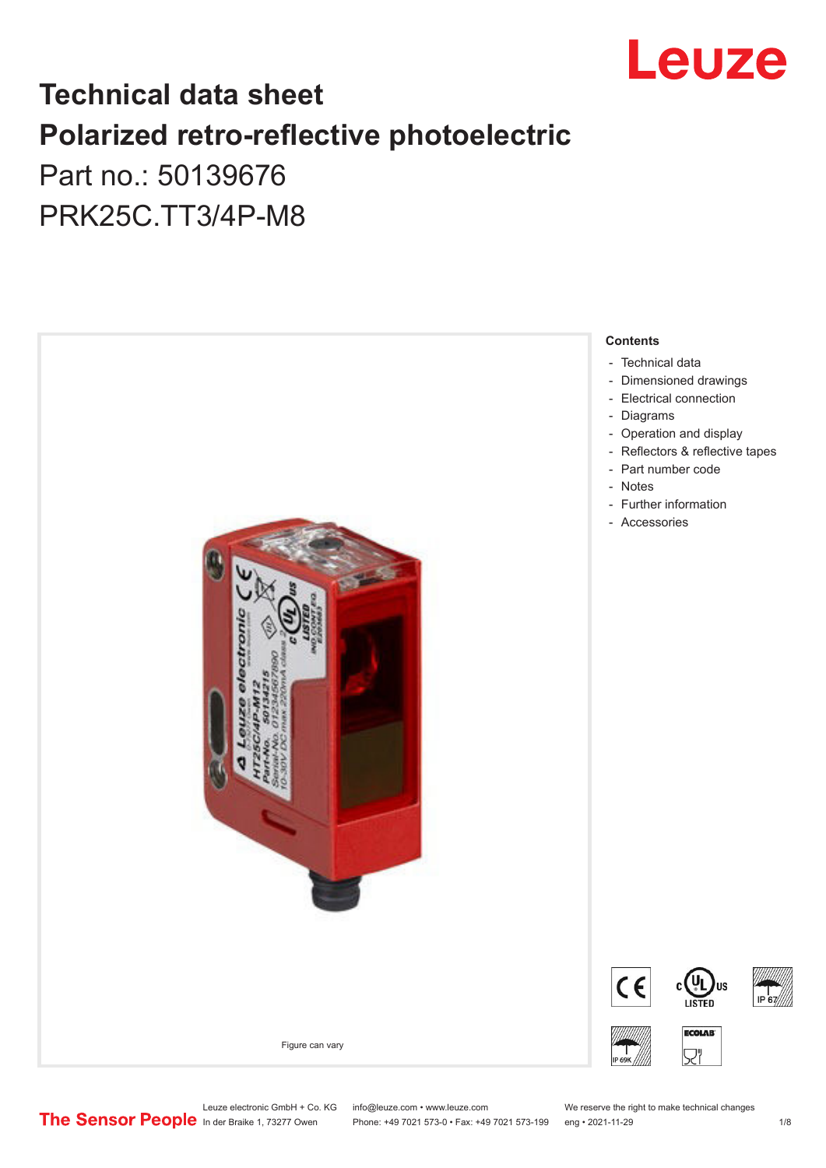

# **Technical data sheet Polarized retro-reflective photoelectric**  Part no.: 50139676

PRK25C.TT3/4P-M8



Leuze electronic GmbH + Co. KG info@leuze.com • www.leuze.com We reserve the right to make technical changes<br>
The Sensor People in der Braike 1, 73277 Owen Phone: +49 7021 573-0 • Fax: +49 7021 573-199 eng • 2021-11-29

Phone: +49 7021 573-0 • Fax: +49 7021 573-199 eng • 2021-11-29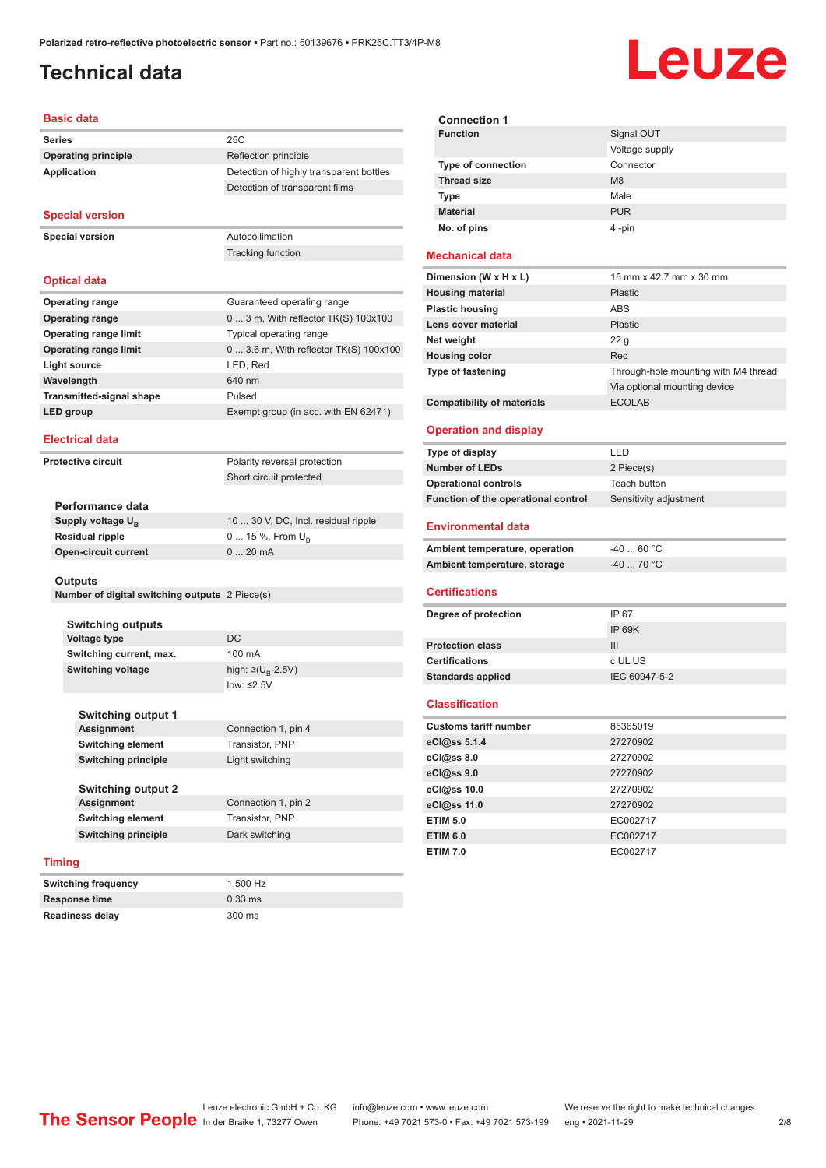#### <span id="page-1-0"></span>**Technical data**

# Leuze

#### **Basic data Series** 25C **Operating principle** Reflection principle **Application** Detection of highly transparent bottles Detection of transparent films **Special version Special version** Autocollimation Tracking function **Optical data Operating range** Guaranteed operating range **Operating range** 0 ... 3 m, With reflector TK(S) 100x100 **Operating range limit** Typical operating range **Operating range limit** 0 ... 3.6 m, With reflector TK(S) 100x100 **Light source** LED, Red **Wavelength** 640 nm **Transmitted-signal shape** Pulsed **LED group** Exempt group (in acc. with EN 62471) **Electrical data Protective circuit** Polarity reversal protection Short circuit protected **Performance data Supply voltage U<sub>B</sub>** 10 ... 30 V, DC, Incl. residual ripple **Residual ripple** 0 ... 15 %, From U<sub>B</sub> **Open-circuit current** 0 ... 20 mA **Outputs Number of digital switching outputs** 2 Piece(s) **Switching outputs Voltage type** DC **Switching current, max.** 100 mA **Switching voltage** high:  $\geq (U_{\text{B}} - 2.5V)$ low: ≤2.5V **Switching output 1 Assignment** Connection 1, pin 4 **Switching element** Transistor, PNP **Switching principle** Light switching **Switching output 2 Assignment** Connection 1, pin 2 **Switching element** Transistor, PNP **Switching principle** Dark switching **Timing**

| <b>Switching frequency</b> | 1.500 Hz          |
|----------------------------|-------------------|
| <b>Response time</b>       | $0.33 \text{ ms}$ |
| <b>Readiness delay</b>     | 300 ms            |

| <b>Connection 1</b>       |                |
|---------------------------|----------------|
| <b>Function</b>           | Signal OUT     |
|                           | Voltage supply |
| <b>Type of connection</b> | Connector      |
| <b>Thread size</b>        | M8             |
| <b>Type</b>               | Male           |
| <b>Material</b>           | <b>PUR</b>     |
| No. of pins               | 4-pin          |

#### **Mechanical data**

| Dimension (W x H x L)             | 15 mm x 42.7 mm x 30 mm              |
|-----------------------------------|--------------------------------------|
| <b>Housing material</b>           | <b>Plastic</b>                       |
| <b>Plastic housing</b>            | ABS                                  |
| Lens cover material               | <b>Plastic</b>                       |
| Net weight                        | 22 <sub>q</sub>                      |
| <b>Housing color</b>              | Red                                  |
| <b>Type of fastening</b>          | Through-hole mounting with M4 thread |
|                                   | Via optional mounting device         |
| <b>Compatibility of materials</b> | <b>ECOLAB</b>                        |

#### **Operation and display**

| Type of display                     | I FD                   |
|-------------------------------------|------------------------|
| Number of LEDs                      | 2 Piece(s)             |
| <b>Operational controls</b>         | Teach button           |
| Function of the operational control | Sensitivity adjustment |

#### **Environmental data**

| Ambient temperature, operation | -40  60 °C                       |
|--------------------------------|----------------------------------|
| Ambient temperature, storage   | $-40$ 70 $^{\circ}$ C $^{\circ}$ |

#### **Certifications**

| Degree of protection     | IP 67         |
|--------------------------|---------------|
|                          | IP 69K        |
| <b>Protection class</b>  | Ш             |
| <b>Certifications</b>    | c UL US       |
| <b>Standards applied</b> | IEC 60947-5-2 |
|                          |               |

#### **Classification**

| <b>Customs tariff number</b> | 85365019 |  |
|------------------------------|----------|--|
| eCl@ss 5.1.4                 | 27270902 |  |
| eCl@ss 8.0                   | 27270902 |  |
| eCl@ss 9.0                   | 27270902 |  |
| eCl@ss 10.0                  | 27270902 |  |
| eCl@ss 11.0                  | 27270902 |  |
| <b>ETIM 5.0</b>              | EC002717 |  |
| <b>ETIM 6.0</b>              | EC002717 |  |
| <b>ETIM 7.0</b>              | EC002717 |  |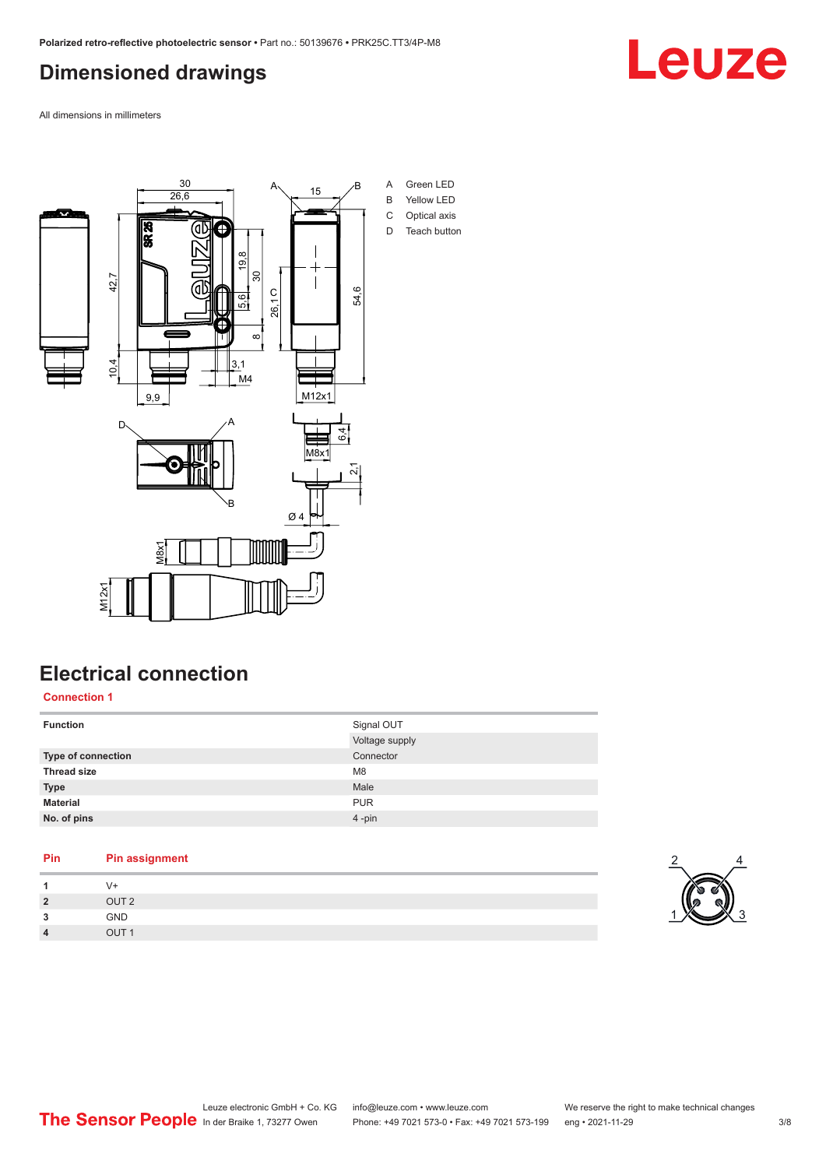#### <span id="page-2-0"></span>**Dimensioned drawings**

Leuze

All dimensions in millimeters



## **Electrical connection**

**Connection 1**

| <b>Function</b>    | Signal OUT<br>Voltage supply |
|--------------------|------------------------------|
| Type of connection | Connector                    |
| <b>Thread size</b> | M <sub>8</sub>               |
| <b>Type</b>        | Male                         |
| <b>Material</b>    | <b>PUR</b>                   |
| No. of pins        | 4-pin                        |

| V+<br>OUT <sub>2</sub><br><b>GND</b><br>3<br>OUT <sub>1</sub><br>$\overline{4}$ | Pin | <b>Pin assignment</b> |
|---------------------------------------------------------------------------------|-----|-----------------------|
| $\overline{2}$                                                                  |     |                       |
|                                                                                 |     |                       |
|                                                                                 |     |                       |
|                                                                                 |     |                       |

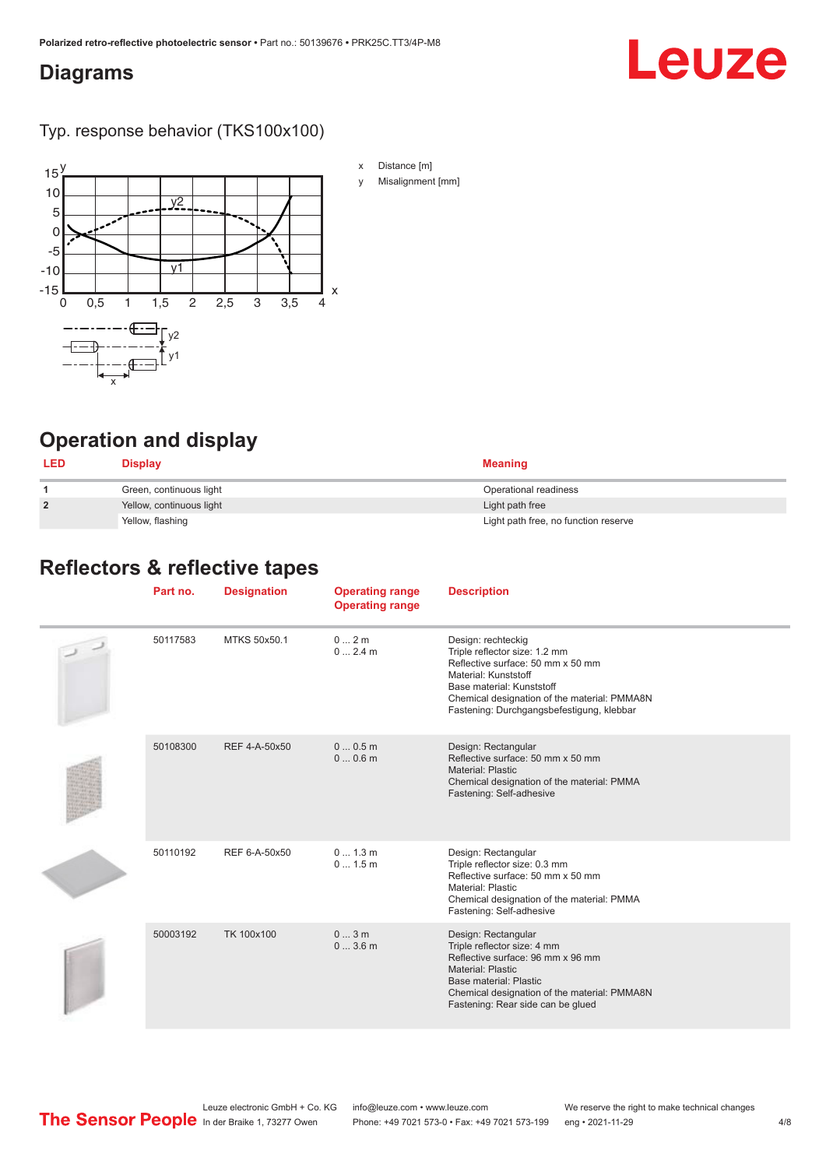#### <span id="page-3-0"></span>**Diagrams**

# Leuze

Typ. response behavior (TKS100x100)



- x Distance [m]
- y Misalignment [mm]

# **Operation and display**

| <b>LED</b>     | <b>Display</b>           | <b>Meaning</b>                       |
|----------------|--------------------------|--------------------------------------|
|                | Green, continuous light  | Operational readiness                |
| $\overline{2}$ | Yellow, continuous light | Light path free                      |
|                | Yellow, flashing         | Light path free, no function reserve |

#### **Reflectors & reflective tapes**

| Part no. | <b>Designation</b> | <b>Operating range</b><br><b>Operating range</b> | <b>Description</b>                                                                                                                                                                                                                         |
|----------|--------------------|--------------------------------------------------|--------------------------------------------------------------------------------------------------------------------------------------------------------------------------------------------------------------------------------------------|
| 50117583 | MTKS 50x50.1       | 0 2m<br>02.4m                                    | Design: rechteckig<br>Triple reflector size: 1.2 mm<br>Reflective surface: 50 mm x 50 mm<br>Material: Kunststoff<br>Base material: Kunststoff<br>Chemical designation of the material: PMMA8N<br>Fastening: Durchgangsbefestigung, klebbar |
| 50108300 | REF 4-A-50x50      | 00.5m<br>00.6m                                   | Design: Rectangular<br>Reflective surface: 50 mm x 50 mm<br>Material: Plastic<br>Chemical designation of the material: PMMA<br>Fastening: Self-adhesive                                                                                    |
| 50110192 | REF 6-A-50x50      | 0 1.3 m<br>01.5m                                 | Design: Rectangular<br>Triple reflector size: 0.3 mm<br>Reflective surface: 50 mm x 50 mm<br>Material: Plastic<br>Chemical designation of the material: PMMA<br>Fastening: Self-adhesive                                                   |
| 50003192 | TK 100x100         | 03m<br>03.6m                                     | Design: Rectangular<br>Triple reflector size: 4 mm<br>Reflective surface: 96 mm x 96 mm<br>Material: Plastic<br>Base material: Plastic<br>Chemical designation of the material: PMMA8N<br>Fastening: Rear side can be glued                |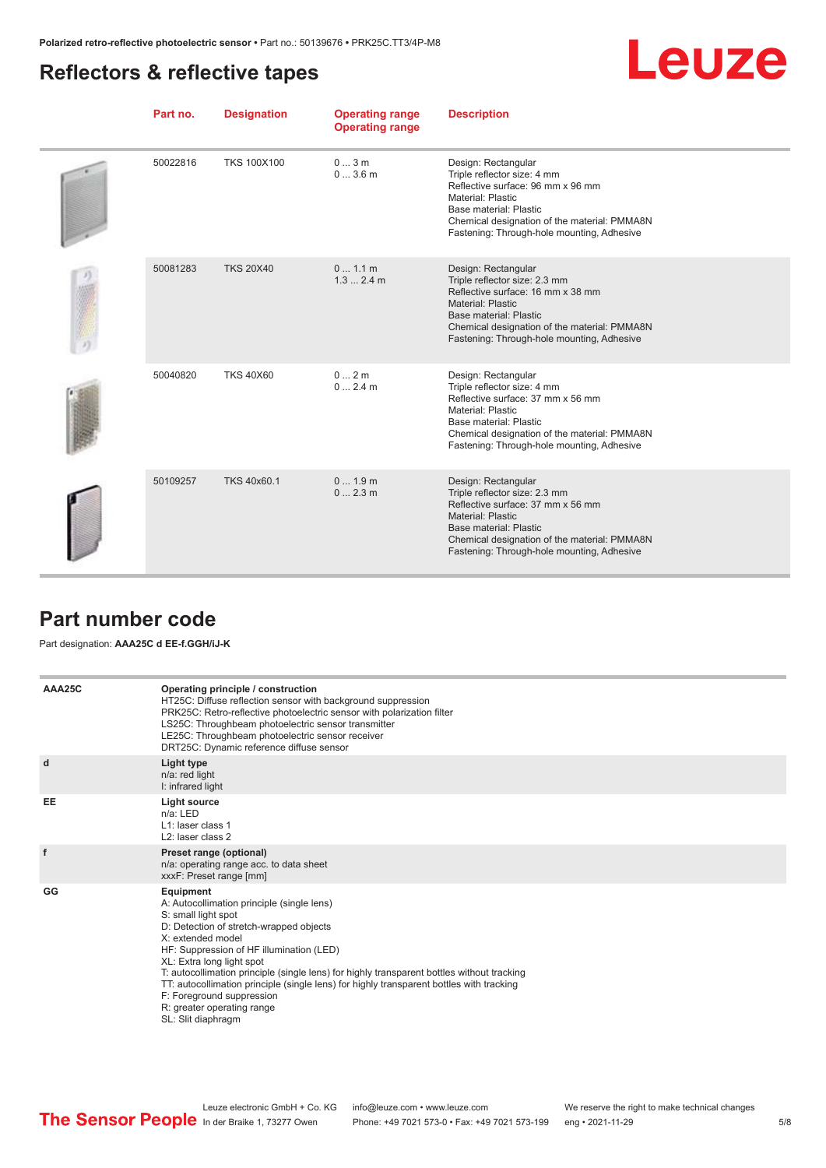## <span id="page-4-0"></span>**Reflectors & reflective tapes**

|--|--|

| Part no. | <b>Designation</b> | <b>Operating range</b><br><b>Operating range</b> | <b>Description</b>                                                                                                                                                                                                                            |
|----------|--------------------|--------------------------------------------------|-----------------------------------------------------------------------------------------------------------------------------------------------------------------------------------------------------------------------------------------------|
| 50022816 | <b>TKS 100X100</b> | 03m<br>03.6m                                     | Design: Rectangular<br>Triple reflector size: 4 mm<br>Reflective surface: 96 mm x 96 mm<br>Material: Plastic<br>Base material: Plastic<br>Chemical designation of the material: PMMA8N<br>Fastening: Through-hole mounting, Adhesive          |
| 50081283 | <b>TKS 20X40</b>   | 0 1.1 m<br>$1.32.4$ m                            | Design: Rectangular<br>Triple reflector size: 2.3 mm<br>Reflective surface: 16 mm x 38 mm<br>Material: Plastic<br>Base material: Plastic<br>Chemical designation of the material: PMMA8N<br>Fastening: Through-hole mounting, Adhesive        |
| 50040820 | <b>TKS 40X60</b>   | 02m<br>02.4m                                     | Design: Rectangular<br>Triple reflector size: 4 mm<br>Reflective surface: 37 mm x 56 mm<br>Material: Plastic<br>Base material: Plastic<br>Chemical designation of the material: PMMA8N<br>Fastening: Through-hole mounting, Adhesive          |
| 50109257 | TKS 40x60.1        | 01.9m<br>0 2.3 m                                 | Design: Rectangular<br>Triple reflector size: 2.3 mm<br>Reflective surface: 37 mm x 56 mm<br><b>Material: Plastic</b><br>Base material: Plastic<br>Chemical designation of the material: PMMA8N<br>Fastening: Through-hole mounting, Adhesive |

#### **Part number code**

#### Part designation: **AAA25C d EE-f.GGH/iJ-K**

| AAA25C | Operating principle / construction<br>HT25C: Diffuse reflection sensor with background suppression<br>PRK25C: Retro-reflective photoelectric sensor with polarization filter<br>LS25C: Throughbeam photoelectric sensor transmitter<br>LE25C: Throughbeam photoelectric sensor receiver<br>DRT25C: Dynamic reference diffuse sensor                                                                                                                                                                |
|--------|----------------------------------------------------------------------------------------------------------------------------------------------------------------------------------------------------------------------------------------------------------------------------------------------------------------------------------------------------------------------------------------------------------------------------------------------------------------------------------------------------|
| d      | Light type<br>n/a: red light<br>I: infrared light                                                                                                                                                                                                                                                                                                                                                                                                                                                  |
| EE     | Light source<br>$n/a$ : LED<br>L1: laser class 1<br>L2: laser class 2                                                                                                                                                                                                                                                                                                                                                                                                                              |
| f      | Preset range (optional)<br>n/a: operating range acc. to data sheet<br>xxxF: Preset range [mm]                                                                                                                                                                                                                                                                                                                                                                                                      |
| GG     | Equipment<br>A: Autocollimation principle (single lens)<br>S: small light spot<br>D: Detection of stretch-wrapped objects<br>X: extended model<br>HF: Suppression of HF illumination (LED)<br>XL: Extra long light spot<br>T: autocollimation principle (single lens) for highly transparent bottles without tracking<br>TT: autocollimation principle (single lens) for highly transparent bottles with tracking<br>F: Foreground suppression<br>R: greater operating range<br>SL: Slit diaphragm |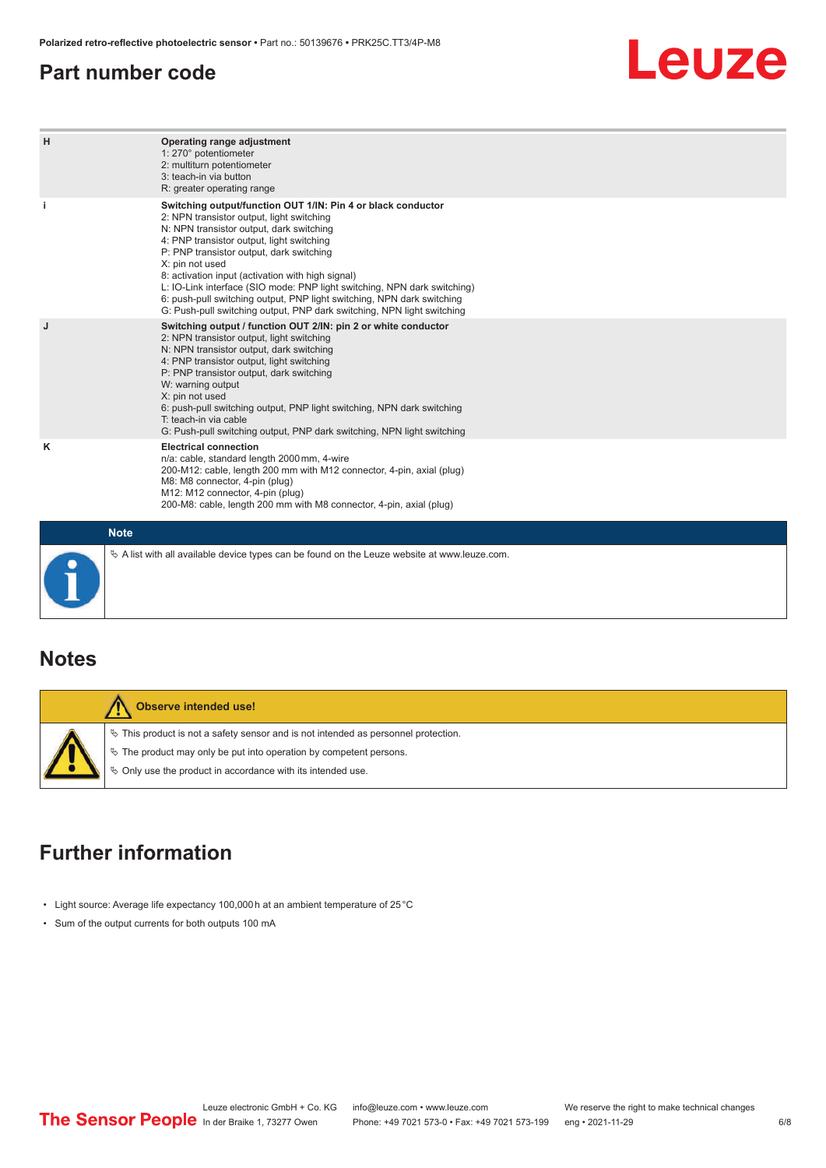#### <span id="page-5-0"></span>**Part number code**

# Leuze

| н | Operating range adjustment<br>1: 270° potentiometer<br>2: multiturn potentiometer<br>3: teach-in via button<br>R: greater operating range                                                                                                                                                                                                                                                                                                                                                                                                              |  |  |  |  |
|---|--------------------------------------------------------------------------------------------------------------------------------------------------------------------------------------------------------------------------------------------------------------------------------------------------------------------------------------------------------------------------------------------------------------------------------------------------------------------------------------------------------------------------------------------------------|--|--|--|--|
|   | Switching output/function OUT 1/IN: Pin 4 or black conductor<br>2: NPN transistor output, light switching<br>N: NPN transistor output, dark switching<br>4: PNP transistor output, light switching<br>P: PNP transistor output, dark switching<br>X: pin not used<br>8: activation input (activation with high signal)<br>L: IO-Link interface (SIO mode: PNP light switching, NPN dark switching)<br>6: push-pull switching output, PNP light switching, NPN dark switching<br>G: Push-pull switching output, PNP dark switching, NPN light switching |  |  |  |  |
| J | Switching output / function OUT 2/IN: pin 2 or white conductor<br>2: NPN transistor output, light switching<br>N: NPN transistor output, dark switching<br>4: PNP transistor output, light switching<br>P: PNP transistor output, dark switching<br>W: warning output<br>X: pin not used<br>6: push-pull switching output, PNP light switching, NPN dark switching<br>T: teach-in via cable<br>G: Push-pull switching output, PNP dark switching, NPN light switching                                                                                  |  |  |  |  |
| κ | <b>Electrical connection</b><br>n/a: cable, standard length 2000 mm, 4-wire<br>200-M12: cable, length 200 mm with M12 connector, 4-pin, axial (plug)<br>M8: M8 connector, 4-pin (plug)<br>M12: M12 connector, 4-pin (plug)<br>200-M8: cable, length 200 mm with M8 connector, 4-pin, axial (plug)                                                                                                                                                                                                                                                      |  |  |  |  |
|   | <b>Note</b>                                                                                                                                                                                                                                                                                                                                                                                                                                                                                                                                            |  |  |  |  |
|   | $\&$ A list with all available device types can be found on the Leuze website at www.leuze.com.                                                                                                                                                                                                                                                                                                                                                                                                                                                        |  |  |  |  |

**Notes**

| Observe intended use!                                                                                                                                                                                                         |
|-------------------------------------------------------------------------------------------------------------------------------------------------------------------------------------------------------------------------------|
| $\%$ This product is not a safety sensor and is not intended as personnel protection.<br>$\%$ The product may only be put into operation by competent persons.<br>§ Only use the product in accordance with its intended use. |

## **Further information**

- Light source: Average life expectancy 100,000 h at an ambient temperature of 25 °C
- Sum of the output currents for both outputs 100 mA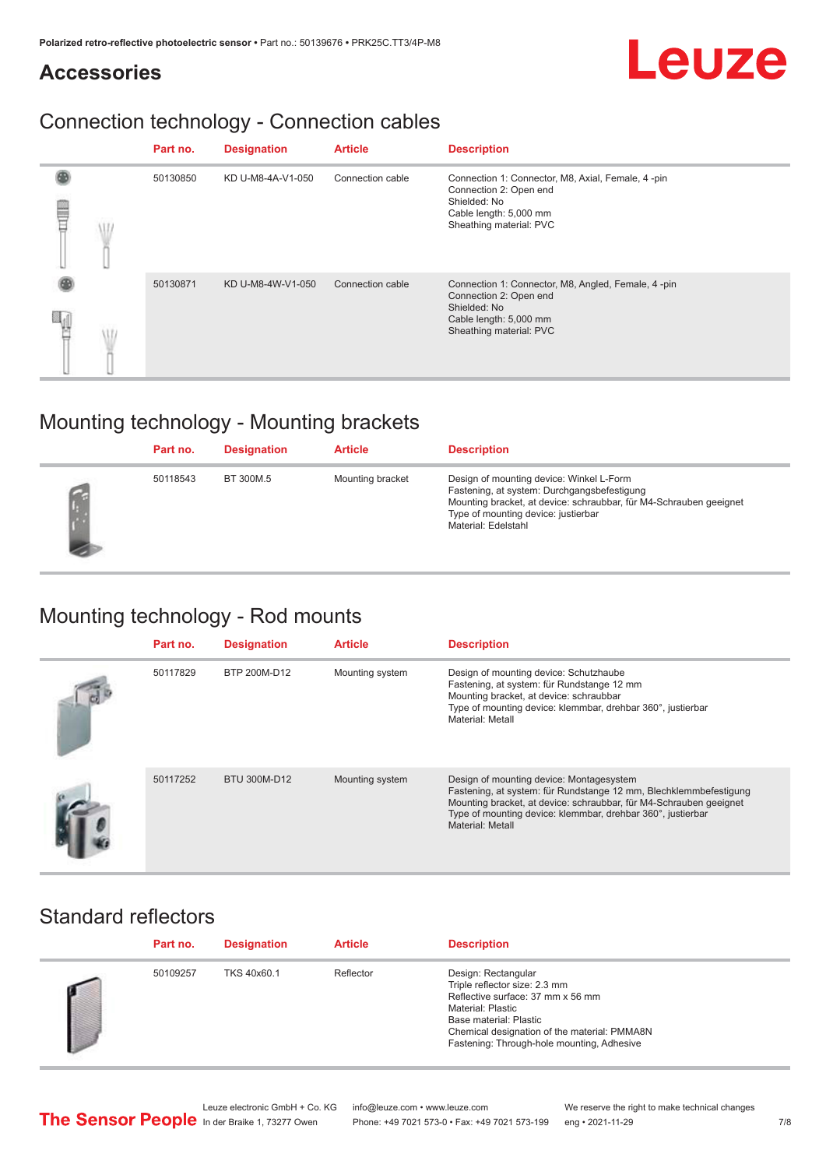# Leuze

#### **Accessories**

# Connection technology - Connection cables

|   | Part no. | <b>Designation</b> | <b>Article</b>   | <b>Description</b>                                                                                                                                |
|---|----------|--------------------|------------------|---------------------------------------------------------------------------------------------------------------------------------------------------|
| ⋚ | 50130850 | KD U-M8-4A-V1-050  | Connection cable | Connection 1: Connector, M8, Axial, Female, 4 -pin<br>Connection 2: Open end<br>Shielded: No<br>Cable length: 5,000 mm<br>Sheathing material: PVC |
|   | 50130871 | KD U-M8-4W-V1-050  | Connection cable | Connection 1: Connector, M8, Angled, Female, 4-pin<br>Connection 2: Open end<br>Shielded: No<br>Cable length: 5,000 mm<br>Sheathing material: PVC |

## Mounting technology - Mounting brackets

|    | Part no. | <b>Designation</b> | <b>Article</b>   | <b>Description</b>                                                                                                                                                                                                          |
|----|----------|--------------------|------------------|-----------------------------------------------------------------------------------------------------------------------------------------------------------------------------------------------------------------------------|
| L. | 50118543 | BT 300M.5          | Mounting bracket | Design of mounting device: Winkel L-Form<br>Fastening, at system: Durchgangsbefestigung<br>Mounting bracket, at device: schraubbar, für M4-Schrauben geeignet<br>Type of mounting device: justierbar<br>Material: Edelstahl |

# Mounting technology - Rod mounts

| Part no. | <b>Designation</b> | <b>Article</b>  | <b>Description</b>                                                                                                                                                                                                                                                     |
|----------|--------------------|-----------------|------------------------------------------------------------------------------------------------------------------------------------------------------------------------------------------------------------------------------------------------------------------------|
| 50117829 | BTP 200M-D12       | Mounting system | Design of mounting device: Schutzhaube<br>Fastening, at system: für Rundstange 12 mm<br>Mounting bracket, at device: schraubbar<br>Type of mounting device: klemmbar, drehbar 360°, justierbar<br>Material: Metall                                                     |
| 50117252 | BTU 300M-D12       | Mounting system | Design of mounting device: Montagesystem<br>Fastening, at system: für Rundstange 12 mm, Blechklemmbefestigung<br>Mounting bracket, at device: schraubbar, für M4-Schrauben geeignet<br>Type of mounting device: klemmbar, drehbar 360°, justierbar<br>Material: Metall |

#### Standard reflectors

| Part no. | <b>Designation</b> | <b>Article</b> | <b>Description</b>                                                                                                                                                                                                                            |
|----------|--------------------|----------------|-----------------------------------------------------------------------------------------------------------------------------------------------------------------------------------------------------------------------------------------------|
| 50109257 | TKS 40x60.1        | Reflector      | Design: Rectangular<br>Triple reflector size: 2.3 mm<br>Reflective surface: 37 mm x 56 mm<br><b>Material: Plastic</b><br>Base material: Plastic<br>Chemical designation of the material: PMMA8N<br>Fastening: Through-hole mounting, Adhesive |

Leuze electronic GmbH + Co. KG info@leuze.com • www.leuze.com We reserve the right to make technical changes<br>
The Sensor People in der Braike 1, 73277 Owen Phone: +49 7021 573-0 • Fax: +49 7021 573-199 eng • 2021-11-29

Phone: +49 7021 573-0 • Fax: +49 7021 573-199 eng • 2021-11-29